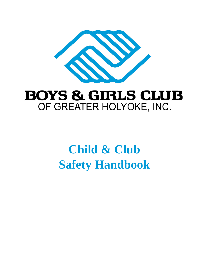

## **BOYS & GIRLS CLUB** OF GREATER HOLYOKE, INC.

# **Child & Club Safety Handbook**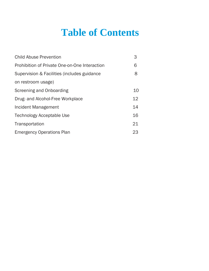## **Table of Contents**

| <b>Child Abuse Prevention</b>                 | 3  |
|-----------------------------------------------|----|
| Prohibition of Private One-on-One Interaction | 6  |
| Supervision & Facilities (includes guidance   | 8  |
| on restroom usage)                            |    |
| Screening and Onboarding                      | 10 |
| Drug- and Alcohol-Free Workplace              | 12 |
| Incident Management                           | 14 |
| Technology Acceptable Use                     | 16 |
| Transportation                                | 21 |
| <b>Emergency Operations Plan</b>              | 23 |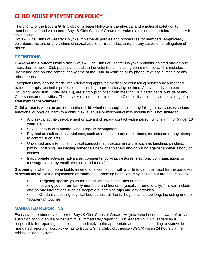### **CHILD ABUSE PREVENTION POLICY**

The priority of the Boys & Girls Clubs of Greater Holyoke is the physical and emotional safety of its members, staff and volunteers. Boys & Girls Clubs of Greater Holyoke maintains a zero-tolerance policy for child abuse.

Boys & Girls Clubs of Greater Holyoke implements policies and procedures for members, employees, volunteers, visitors or any victims of sexual abuse or misconduct to report any suspicion or allegation of abuse.

#### **DEFINITIONS**

**One-on-One-Contact Prohibition:** Boys & Girls Clubs of Greater Holyoke prohibits isolated one-on-one interaction between Club participants and staff or volunteers, including board members. This includes prohibiting one on-one contact at any time at the Club, in vehicles or by phone, text, social media or any other means.

Exceptions may only be made when delivering approved medical or counseling services by a licensed, trained therapist or similar professional according to professional guidelines. All staff and volunteers, including minor staff (under age 18), are strictly prohibited from meeting Club participants outside of any Club-sponsored activities. The only exception to this rule is if the Club participant is a child or sibling of a staff member or volunteer.

**Child abuse** is when an adult or another child, whether through action or by failing to act, causes serious emotional or physical harm to a child. Sexual abuse or misconduct may include but is not limited to:

- Any sexual activity, involvement or attempt of sexual contact with a person who is a minor (under 18 years old).
- Sexual activity with another who is legally incompetent.
- Physical assault or sexual violence, such as rape, statutory rape, abuse, molestation or any attempt to commit such acts.
- Unwanted and intentional physical conduct that is sexual in nature, such as touching, pinching, patting, brushing, massaging someone's neck or shoulders and/or pulling against another's body or clothes.
- Inappropriate activities, advances, comments, bullying, gestures, electronic communications or messages (e.g., by email, text, or social media).

**Grooming** is when someone builds an emotional connection with a child to gain their trust for the purposes of sexual abuse, sexual exploitation or trafficking. Grooming behaviors may include but are not limited to:

- Targeting specific youth for special attention, activities or gifts.
- Isolating youth from family members and friends physically or emotionally. This can include one-on one interactions such as sleepovers, camping trips and day activities.
- Gradually crossing physical boundaries, full-frontal hugs that last too long, lap sitting or other "accidental" touches.

#### **MANDATED REPORTING**

Every staff member or volunteer of Boys & Girls Clubs of Greater Holyoke who becomes aware of or has suspicion of child abuse or neglect must immediately report to Club leadership. Club leadership is responsible for reporting the incident immediately to the appropriate authorities according to statewide mandated reporting laws, as well as to Boys & Girls Clubs of America (BGCA) within 24 hours via the critical incident system.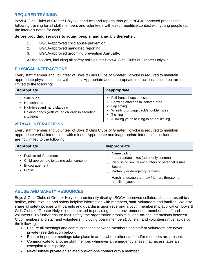#### **REQUIRED TRAINING**

Boys & Girls Clubs of Greater Holyoke conducts and reports through a BGCA-approved process the following training for all staff members and volunteers with direct repetitive contact with young people (at the intervals noted for each).

#### **Before providing services to young people, and annually thereafter:**

- 1. BGCA-approved child abuse prevention
- 2. BGCA-approved mandated reporting
- 3. BGCA-approved grooming prevention **Annually:**

All the policies, including all safety policies, for Boys & Girls Clubs of Greater Holyoke.

#### **PHYSICAL INTERACTIONS**

Every staff member and volunteer of Boys & Girls Clubs of Greater Holyoke is required to maintain appropriate physical contact with minors. Appropriate and inappropriate interactions include but are not limited to the following:

| Appropriate                                                                                                               | Inappropriate                                                                                                                                                                             |
|---------------------------------------------------------------------------------------------------------------------------|-------------------------------------------------------------------------------------------------------------------------------------------------------------------------------------------|
| Side hugs<br>Handshakes<br>High-fives and hand slapping<br>Holding hands (with young children in escorting<br>situations) | Full-frontal hugs or kisses<br>Showing affection in isolated area<br>Lap sitting<br>Wrestling or piggyback/shoulder rides<br><b>Tickling</b><br>Allowing youth to cling to an adult's leg |

#### **VERBAL INTERACTIONS**

Every staff member and volunteer of Boys & Girls Clubs of Greater Holyoke is required to maintain appropriate verbal interactions with minors. Appropriate and inappropriate interactions include but are not limited to the following:

| Appropriate                                                                                     | Inappropriate                                                                                                                                                                                                                 |
|-------------------------------------------------------------------------------------------------|-------------------------------------------------------------------------------------------------------------------------------------------------------------------------------------------------------------------------------|
| Positive reinforcement<br>Child-appropriate jokes (no adult content)<br>Encouragement<br>Praise | Name calling<br>Inappropriate jokes (adult-only content)<br>Discussing sexual encounters or personal issues<br>Secrets<br>Profanity or derogatory remarks<br>Harsh language that may frighten, threaten or<br>humiliate youth |

#### **ABUSE AND SAFETY RESOURCES**

Boys & Girls Clubs of Greater Holyoke prominently displays BGCA-approved collateral that shares ethics hotline, crisis text line and safety helpline information with members, staff, volunteers and families. We also share all safety policies with parents and guardians upon receiving a youth membership application. Boys & Girls Clubs of Greater Holyoke is committed to providing a safe environment for members, staff and volunteers. To further ensure their safety, the organization prohibits all one-on-one interactions between Club members and staff and volunteers (including board members). All staff and volunteers must abide by the following:

- Ensure all meetings and communications between members and staff or volunteers are never private (see definition below).
- Ensure in-person meetings take place in areas where other staff and/or members are present.
- Communicate to another staff member whenever an emergency arises that necessitates an exception to this policy.
- Never initiate private or isolated one-on-one contact with a member.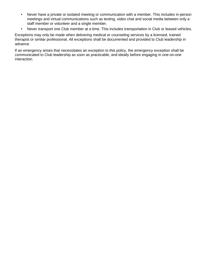- Never have a private or isolated meeting or communication with a member. This includes in-person meetings and virtual communications such as texting, video chat and social media between only a staff member or volunteer and a single member.
- Never transport one Club member at a time. This includes transportation in Club or leased vehicles.

Exceptions may only be made when delivering medical or counseling services by a licensed, trained therapist or similar professional. All exceptions shall be documented and provided to Club leadership in advance.

If an emergency arises that necessitates an exception to this policy, the emergency exception shall be communicated to Club leadership as soon as practicable, and ideally before engaging in one-on-one interaction.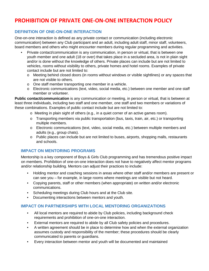## **PROHIBITION OF PRIVATE ONE-ON-ONE INTERACTION POLICY**

#### **DEFINITION OF ONE-ON-ONE INTERACTION**

One-on-one interaction is defined as any private contact or communication (including electronic communication) between any Club participant and an adult, including adult staff, minor staff, volunteers, board members and others who might encounter members during regular programming and activities.

- Private contact/communication is any communication, in person or virtual, that is between one youth member and one adult (18 or over) that takes place in a secluded area, is not in plain sight and/or is done without the knowledge of others. Private places can include but are not limited to vehicles, rooms without visibility to others, private homes and hotel rooms. Examples of private contact include but are not limited to:
	- o Meeting behind closed doors (in rooms without windows or visible sightlines) or any spaces that are not visible to others.
	- o One staff member transporting one member in a vehicle.
	- o Electronic communications (text, video, social media, etc.) between one member and one staff member or volunteer.

**Public contact/communication** is any communication or meeting, in person or virtual, that is between at least three individuals, including two staff and one member, one staff and two members or variations of these combinations. Examples of public contact include but are not limited to:

- o Meeting in plain sight of others (e.g., in a quiet corner of an active games room).
- o Transporting members via public transportation (bus, taxis, train, air, etc.) or transporting multiple members.
- o Electronic communications (text, video, social media, etc.) between multiple members and adults (e.g., group chats).
- o Public places can include but are not limited to buses, airports, shopping malls, restaurants and schools.

#### **IMPACT ON MENTORING PROGRAMS**

Mentorship is a key component of Boys & Girls Club programming and has tremendous positive impact on members. Prohibition of one-on-one interaction does not have to negatively affect mentor programs and/or relationship building. Mentors can adjust their practices to include:

- Holding mentor and coaching sessions in areas where other staff and/or members are present or can see you – for example, in large rooms where meetings are visible but not heard.
- Copying parents, staff or other members (when appropriate) on written and/or electronic communications.
- Scheduling meetings during Club hours and at the Club site.
- Documenting interactions between mentors and youth.

#### **IMPACT ON PARTNERSHIPS WITH LOCAL MENTORING ORGANIZATIONS**

- All local mentors are required to abide by Club policies, including background check requirements and prohibition of one-on-one interaction.
- External mentors are required to abide by all Club safety policies and procedures.
- A written agreement should be in place to determine how and when the external organization assumes custody and responsibility of the member; these procedures should be clearly communicated to parents or guardians.
- Every interaction between mentor and youth will be documented and maintained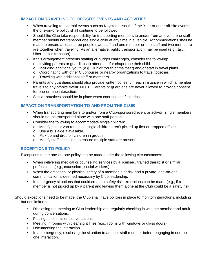#### **IMPACT ON TRAVELING TO OFF-SITE EVENTS AND ACTIVITIES**

- When traveling to external events such as Keystone, Youth of the Year or other off-site events, the one-on-one policy shall continue to be followed.
- Should the Club take responsibility for transporting members to and/or from an event, one staff member should not transport one single child at any time in a vehicle. Accommodations shall be made to ensure at least three people (two staff and one member or one staff and two members) are together when traveling. As an alternative, public transportation may be used (e.g., taxi, Uber, public transport).
- If this arrangement presents staffing or budget challenges, consider the following:
	- o Inviting parents or guardians to attend and/or chaperone their child.
	- $\circ$  Including additional youth (e.g., Junior Youth of the Year) and/or staff in travel plans.
	- o Coordinating with other Clubhouses or nearby organizations to travel together.
	- o Traveling with additional staff or members.
- Parents and guardians should also provide written consent in each instance in which a member travels to any off-site event. NOTE: Parents or guardians are never allowed to provide consent for one-on-one interaction.
- Similar practices should be in place when coordinating field trips.

#### **IMPACT ON TRANSPORTATION TO AND FROM THE CLUB**

- When transporting members to and/or from a Club-sponsored event or activity, single members should not be transported alone with one staff person.
- Consider the following to accommodate single children:
	- o Modify bus or van routes so single children aren't picked up first or dropped off last.
	- o Use a bus aide if available.
	- o Pick up and drop off children in groups.
	- o Modify staff schedules to ensure multiple staff are present.

#### **EXCEPTIONS TO POLICY**

Exceptions to the one-on-one policy can be made under the following circumstances:

- When delivering medical or counseling services by a licensed, trained therapist or similar professional (e.g., counselors, social workers).
- When the emotional or physical safety of a member is at risk and a private, one-on-one communication is deemed necessary by Club leadership.
- In emergency situations that could create a safety risk, exceptions can be made (e.g., if a member is not picked up by a parent and leaving them alone at the Club could be a safety risk).

Should exceptions need to be made, the Club shall have policies in place to monitor interactions, including but not limited to:

- Disclosing the meeting to Club leadership and regularly checking in with the member and adult during conversations.
- Placing time limits on conversations.
- Meeting in rooms with clear sight lines (e.g., rooms with windows or glass doors).
- Documenting the interaction.
- In an emergency, disclosing the situation to another staff member before engaging in one-onone interaction.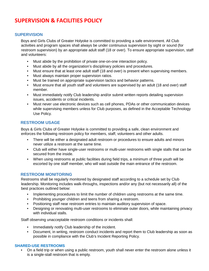## **SUPERVISION & FACILITIES POLICY**

#### **SUPERVISION**

Boys and Girls Clubs of Greater Holyoke is committed to providing a safe environment. All Club activities and program spaces shall always be under continuous supervision by sight or sound (for restroom supervision) by an appropriate adult staff (18 or over). To ensure appropriate supervision, staff and volunteers:

- Must abide by the prohibition of private one-on-one interaction policy.
- Must abide by all the organization's disciplinary policies and procedures.
- Must ensure that at least one adult staff (18 and over) is present when supervising members.
- Must always maintain proper supervision ratios.
- Must be trained on appropriate supervision tactics and behavior patterns.
- Must ensure that all youth staff and volunteers are supervised by an adult (18 and over) staff member.
- Must immediately notify Club leadership and/or submit written reports detailing supervision issues, accidents or critical incidents.
- Must never use electronic devices such as cell phones, PDAs or other communication devices while supervising members unless for Club purposes, as defined in the Acceptable Technology Use Policy.

#### **RESTROOM USAGE**

Boys & Girls Clubs of Greater Holyoke is committed to providing a safe, clean environment and enforces the following restroom policy for members, staff, volunteers and other adults.

- There will be either a designated adult restroom or procedures to ensure adults and minors never utilize a restroom at the same time.
- Club will either have single-user restrooms or multi-user restrooms with single stalls that can be secured from the inside.
- When using restrooms at public facilities during field trips, a minimum of three youth will be escorted by one staff member, who will wait outside the main entrance of the restroom.

#### **RESTROOM MONITORING**

Restrooms shall be regularly monitored by designated staff according to a schedule set by Club leadership. Monitoring includes walk-throughs, inspections and/or any (but not necessarily all) of the best practices outlined below:

- Implementing procedures to limit the number of children using restrooms at the same time.
- Prohibiting younger children and teens from sharing a restroom.
- Positioning staff near restroom entries to maintain auditory supervision of space.
- Designing or renovating multi-user restrooms to eliminate outer doors, while maintaining privacy with individual stalls.

Staff observing unacceptable restroom conditions or incidents shall:

- Immediately notify Club leadership of the incident.
- Document, in writing, restroom conduct incidents and report them to Club leadership as soon as possible in compliance with the Club's Incident Reporting Policy.

#### **SHARED-USE RESTROOMS**

• On a field trip or when using a public restroom, youth shall never enter the restroom alone unless it is a single-stall restroom that is empty.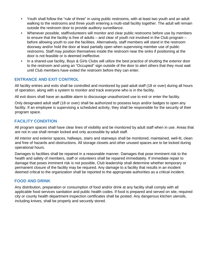- Youth shall follow the "rule of three" in using public restrooms, with at least two youth and an adult walking to the restrooms and three youth entering a multi-stall facility together. The adult will remain outside the restroom door to provide auditory surveillance.
- Whenever possible, staff/volunteers will monitor and clear public restrooms before use by members to ensure that the facility is free of adults – and clear of youth not involved in the Club program – before allowing youth to use the facilities. Alternatively, staff members will stand in the restroom doorway and/or hold the door at least partially open when supervising member use of public restrooms. Staff may position themselves inside the restroom near the sinks if positioning at the door is not feasible or is deemed ineffective.
- In a shared-use facility, Boys & Girls Clubs will utilize the best practice of shutting the exterior door to the restroom and using an "Occupied" sign outside of the door to alert others that they must wait until Club members have exited the restroom before they can enter.

#### **ENTRANCE AND EXIT CONTROL**

All facility entries and exits shall be controlled and monitored by paid adult staff (18 or over) during all hours of operation, along with a system to monitor and track everyone who is in the facility.

All exit doors shall have an audible alarm to discourage unauthorized use to exit or enter the facility.

Only designated adult staff (18 or over) shall be authorized to possess keys and/or badges to open any facility. If an employee is supervising a scheduled activity, they shall be responsible for the security of their program space.

#### **FACILITY CONDITION**

All program spaces shall have clear lines of visibility and be monitored by adult staff when in use. Areas that are not in use shall remain locked and only accessible by adult staff.

All interior and exterior spaces, hallways, stairs and stairways shall be monitored, maintained, well-lit, clean and free of hazards and obstructions. All storage closets and other unused spaces are to be locked during operational hours.

Damages to facilities shall be repaired in a reasonable manner. Damages that pose imminent risk to the health and safety of members, staff or volunteers shall be repaired immediately. If immediate repair to damage that poses imminent risk is not possible, Club leadership shall determine whether temporary or permanent closure of the facility may be required. Any damage to a facility that results in an incident deemed critical to the organization shall be reported to the appropriate authorities as a critical incident.

#### **FOOD AND DRINK**

Any distribution, preparation or consumption of food and/or drink at any facility shall comply with all applicable food services sanitation and public health codes. If food is prepared and served on site, required city or county health department inspection certificates shall be posted. Any dangerous kitchen utensils, including knives, shall be properly and securely stored.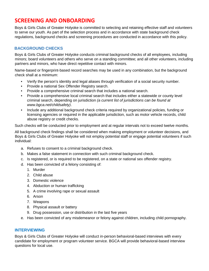## **SCREENING AND ONBOARDING**

Boys & Girls Clubs of Greater Holyoke is committed to selecting and retaining effective staff and volunteers to serve our youth. As part of the selection process and in accordance with state background check regulations, background checks and screening procedures are conducted in accordance with this policy.

#### **BACKGROUND CHECKS**

Boys & Girls Clubs of Greater Holyoke conducts criminal background checks of all employees, including minors; board volunteers and others who serve on a standing committee; and all other volunteers, including partners and minors, who have direct repetitive contact with minors.

Name‐based or fingerprint‐based record searches may be used in any combination, but the background check shall at a minimum:

- Verify the person's identity and legal aliases through verification of a social security number.
- Provide a national Sex Offender Registry search.
- Provide a comprehensive criminal search that includes a national search.
- Provide a comprehensive local criminal search that includes either a statewide or county level criminal search, depending on jurisdiction *(a current list of jurisdictions can be found at www.bgca.net/childsafety)*.
- Include any additional background check criteria required by organizational policies, funding or licensing agencies or required in the applicable jurisdiction, such as motor vehicle records, child abuse registry or credit checks.

Such checks will be conducted prior to employment and at regular intervals not to exceed twelve months.

All background check findings shall be considered when making employment or volunteer decisions, and Boys & Girls Clubs of Greater Holyoke will not employ potential staff or engage potential volunteers if such individual:

- a. Refuses to consent to a criminal background check.
- b. Makes a false statement in connection with such criminal background check.
- c. Is registered, or is required to be registered, on a state or national sex offender registry.
- d. Has been convicted of a felony consisting of:
	- 1. Murder
	- 2. Child abuse
	- 3. Domestic violence
	- 4. Abduction or human trafficking
	- 5. A crime involving rape or sexual assault
	- 6. Arson
	- 7. Weapons
	- 8. Physical assault or battery
	- 9. Drug possession, use or distribution in the last five years
- e. Has been convicted of any misdemeanor or felony against children, including child pornography.

#### **INTERVIEWING**

Boys & Girls Clubs of Greater Holyoke will conduct in-person behavioral-based interviews with every candidate for employment or program volunteer service. BGCA will provide behavioral-based interview questions for local use.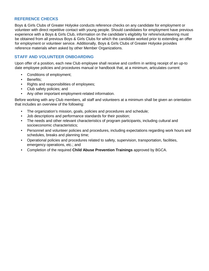#### **REFERENCE CHECKS**

Boys & Girls Clubs of Greater Holyoke conducts reference checks on any candidate for employment or volunteer with direct repetitive contact with young people. Should candidates for employment have previous experience with a Boys & Girls Club, information on the candidate's eligibility for rehire/volunteering must be obtained from all previous Boys & Girls Clubs for which the candidate worked prior to extending an offer for employment or volunteer service. Additionally, Boys & Girls Clubs of Greater Holyoke provides reference materials when asked by other Member Organizations.

#### **STAFF AND VOLUNTEER ONBOARDING**

Upon offer of a position, each new Club employee shall receive and confirm in writing receipt of an up-to date employee policies and procedures manual or handbook that, at a minimum, articulates current:

- Conditions of employment;
- Benefits;
- Rights and responsibilities of employees;
- Club safety policies; and
- Any other important employment-related information.

Before working with any Club members, all staff and volunteers at a minimum shall be given an orientation that includes an overview of the following:

- The organization's mission, goals, policies and procedures and schedule;
- Job descriptions and performance standards for their position;
- The needs and other relevant characteristics of program participants, including cultural and socioeconomic characteristics;
- Personnel and volunteer policies and procedures, including expectations regarding work hours and schedules, breaks and planning time;
- Operational policies and procedures related to safety, supervision, transportation, facilities, emergency operations, etc.; and
- Completion of the required **Child Abuse Prevention Trainings** approved by BGCA.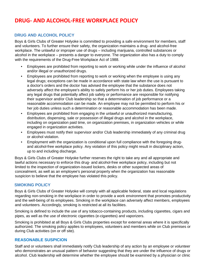## **DRUG- AND ALCOHOL-FREE WORKPLACE POLICY**

#### **DRUG AND ALCOHOL POLICY**

Boys & Girls Clubs of Greater Holyoke is committed to providing a safe environment for members, staff and volunteers. To further ensure their safety, the organization maintains a drug- and alcohol-free workplace. The unlawful or improper use of drugs – including marijuana, controlled substances or alcohol in the workplace – presents a danger to everyone. The organization also has a duty to comply with the requirements of the Drug-Free Workplace Act of 1988.

- Employees are prohibited from reporting to work or working while under the influence of alcohol and/or illegal or unauthorized drugs.
- Employees are prohibited from reporting to work or working when the employee is using any legal drugs; exceptions can be made in accordance with state law when the use is pursuant to a doctor's orders and the doctor has advised the employee that the substance does not adversely affect the employee's ability to safely perform his or her job duties. Employees taking any legal drugs that potentially affect job safety or performance are responsible for notifying their supervisor and/or Club leadership so that a determination of job performance or a reasonable accommodation can be made. An employee may not be permitted to perform his or her job duties unless such a determination or reasonable accommodation has been made.
- Employees are prohibited from engaging in the unlawful or unauthorized manufacturing, distribution, dispensing, sale or possession of illegal drugs and alcohol in the workplace, including on organization paid time, on organization premises, in organization vehicles or while engaged in organization activities.
- Employees must notify their supervisor and/or Club leadership immediately of any criminal drug or alcohol violation.
- Employment with the organization is conditional upon full compliance with the foregoing drugand alcohol-free workplace policy. Any violation of this policy might result in disciplinary action, up to and including discharge.

Boys & Girls Clubs of Greater Holyoke further reserves the right to take any and all appropriate and lawful actions necessary to enforce this drug- and alcohol-free workplace policy, including but not limited to the inspection of organization-issued lockers, desks or other suspected areas of concealment, as well as an employee's personal property when the organization has reasonable suspicion to believe that the employee has violated this policy.

#### **SMOKING POLICY**

Boys & Girls Clubs of Greater Holyoke will comply with all applicable federal, state and local regulations regarding non-smoking in the workplace in order to provide a work environment that promotes productivity and the well-being of its employees. Smoking in the workplace can adversely affect members, employees and volunteers. Accordingly, smoking is restricted at all its facilities.

Smoking is defined to include the use of any tobacco-containing products, including cigarettes, cigars and pipes, as well as the use of electronic cigarettes (e-cigarettes) and vaporizers.

Smoking is prohibited at all Boys & Girls Clubs properties except for external areas where it is specifically authorized. The smoking policy applies to employees, volunteers and members while on Club premises or during Club activities (on or off site).

#### **REASONABLE SUSPICION**

Staff and or volunteers shall immediately notify Club leadership of any action by an employee or volunteer who demonstrates an unusual pattern of behavior suggesting that they are under the influence of drugs or alcohol. Club leadership will determine whether the employee should be examined by a physician or clinic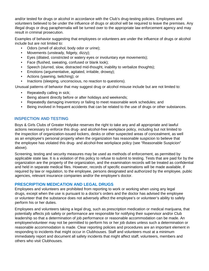and/or tested for drugs or alcohol in accordance with the Club's drug-testing policies. Employees and volunteers believed to be under the influence of drugs or alcohol will be required to leave the premises. Any illegal drugs or drug paraphernalia will be turned over to the appropriate law enforcement agency and may result in criminal prosecution.

Examples of behavior suggesting that employees or volunteers are under the influence of drugs or alcohol include but are not limited to:

- Odors (smell of alcohol, body odor or urine);
- Movements (unsteady, fidgety, dizzy);
- Eyes (dilated, constricted or watery eyes or involuntary eye movements);
- Face (flushed, sweating, confused or blank look);
- Speech (slurred, slow, distracted mid-thought, inability to verbalize thoughts);
- Emotions (argumentative, agitated, irritable, drowsy);
- Actions (yawning, twitching); or
- Inactions (sleeping, unconscious, no reaction to questions).

Unusual patterns of behavior that may suggest drug or alcohol misuse include but are not limited to:

- Repeatedly calling in sick;
- Being absent directly before or after holidays and weekends;
- Repeatedly damaging inventory or failing to meet reasonable work schedules; and
- Being involved in frequent accidents that can be related to the use of drugs or other substances.

#### **INSPECTION AND TESTING**

Boys & Girls Clubs of Greater Holyoke reserves the right to take any and all appropriate and lawful actions necessary to enforce this drug- and alcohol-free workplace policy, including but not limited to the inspection of organization-issued lockers, desks or other suspected areas of concealment, as well as an employee's personal property when the organization has reasonable suspicion to believe that the employee has violated this drug- and alcohol-free workplace policy (see "Reasonable Suspicion" above).

Screening, testing and security measures may be used as methods of enforcement, as permitted by applicable state law. It is a violation of this policy to refuse to submit to testing. Tests that are paid for by the organization are the property of the organization, and the examination records will be treated as confidential and held in separate medical files. However, records of specific examinations will be made available, if required by law or regulation, to the employee, persons designated and authorized by the employee, public agencies, relevant insurance companies and/or the employee's doctor.

#### **PRESCRIPTION MEDICATION AND LEGAL DRUGS**

Employees and volunteers are prohibited from reporting to work or working when using any legal drugs, except when the use is pursuant to a doctor's orders and the doctor has advised the employee or volunteer that the substance does not adversely affect the employee's or volunteer's ability to safely perform his or her duties.

Employees and volunteers taking a legal drug, such as prescription medication or medical marijuana, that potentially affects job safety or performance are responsible for notifying their supervisor and/or Club leadership so that a determination of job performance or reasonable accommodation can be made. An employee/volunteer may not be permitted to perform his or her job duties unless such a determination or reasonable accommodation is made. Clear reporting policies and procedures are an important element in responding to incidents that might occur in Clubhouses. Staff and volunteers must at a minimum immediately report and document all safety incidents that might affect staff, volunteers, members and others who visit Clubhouses.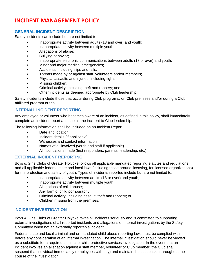## **INCIDENT MANAGEMENT POLICY**

#### **GENERAL INCIDENT DESCRIPTION**

Safety incidents can include but are not limited to:

- Inappropriate activity between adults (18 and over) and youth;
- Inappropriate activity between multiple youth;
- Allegations of abuse;
- Bullying behavior;
- Inappropriate electronic communications between adults (18 or over) and youth;
- Minor and major medical emergencies;
- Accidents, including slips and falls;
- Threats made by or against staff, volunteers and/or members;
- Physical assaults and injuries, including fights;
- Missing children;
- Criminal activity, including theft and robbery; and
- Other incidents as deemed appropriate by Club leadership.

Safety incidents include those that occur during Club programs, on Club premises and/or during a Club affiliated program or trip.

#### **INTERNAL INCIDENT REPORTING**

Any employee or volunteer who becomes aware of an incident, as defined in this policy, shall immediately complete an incident report and submit the incident to Club leadership.

The following information shall be included on an Incident Report:

- Date and location
- Incident details (if applicable)
- Witnesses and contact information
- Names of all involved (youth and staff if applicable)
- All notifications made (first responders, parents, leadership, etc.)

#### **EXTERNAL INCIDENT REPORTING**

Boys & Girls Clubs of Greater Holyoke follows all applicable mandated reporting statutes and regulations and all applicable federal, state and local laws (including those around licensing, for licensed organizations) for the protection and safety of youth. Types of incidents reported include but are not limited to:

- Inappropriate activity between adults (18 or over) and youth;
- Inappropriate activity between multiple youth;
- Allegations of child abuse;
- Any form of child pornography;
- Criminal activity, including assault, theft and robbery; or
- Children missing from the premises.

#### **INCIDENT INVESTIGATION**

Boys & Girls Clubs of Greater Holyoke takes all incidents seriously and is committed to supporting external investigations of all reported incidents and allegations or internal investigations by the Safety Committee when not an externally reportable incident.

Federal, state and local criminal and or mandated child abuse reporting laws must be complied with before any consideration of an internal investigation. The internal investigation should never be viewed as a substitute for a required criminal or child protective services investigation. In the event that an incident involves an allegation against a staff member, volunteer or Club member, the Club shall suspend that individual immediately (employees with pay) and maintain the suspension throughout the course of the investigation.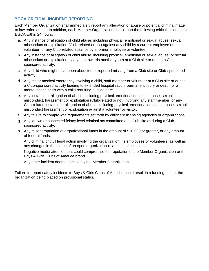#### **BGCA CRITICAL INCIDENT REPORTING**

Each Member Organization shall immediately report any allegation of abuse or potential criminal matter to law enforcement. In addition, each Member Organization shall report the following critical incidents to BGCA within 24 hours:

- a. Any instance or allegation of child abuse, including physical, emotional or sexual abuse; sexual misconduct or exploitation (Club-related or not) against any child by a current employee or volunteer; or any Club-related instance by a former employee or volunteer.
- b. Any instance or allegation of child abuse, including physical, emotional or sexual abuse; or sexual misconduct or exploitation by a youth towards another youth at a Club site or during a Clubsponsored activity.
- c. Any child who might have been abducted or reported missing from a Club site or Club-sponsored activity.
- d. Any major medical emergency involving a child, staff member or volunteer at a Club site or during a Club-sponsored activity leading to extended hospitalization, permanent injury or death; or a mental health crisis with a child requiring outside care.
- e. Any instance or allegation of abuse, including physical, emotional or sexual abuse, sexual misconduct, harassment or exploitation (Club-related or not) involving any staff member; or any Club-related instance or allegation of abuse, including physical, emotional or sexual abuse, sexual misconduct harassment or exploitation against a volunteer or visitor.
- f. Any failure to comply with requirements set forth by childcare licensing agencies or organizations.
- g. Any known or suspected felony-level criminal act committed at a Club site or during a Clubsponsored activity.
- h. Any misappropriation of organizational funds in the amount of \$10,000 or greater, or any amount of federal funds.
- i. Any criminal or civil legal action involving the organization, its employees or volunteers, as well as any changes in the status of an open organization-related legal action.
- j. Negative media attention that could compromise the reputation of the Member Organization or the Boys & Girls Clubs of America brand.
- k. Any other incident deemed critical by the Member Organization.

Failure to report safety incidents to Boys & Girls Clubs of America could result in a funding hold or the organization being placed on provisional status.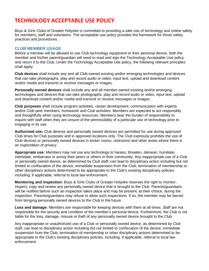## **TECHNOLOGY ACCEPTABLE USE POLICY**

Boys & Girls Clubs of Greater Holyoke is committed to providing a safe use of technology and online safety for members, staff and volunteers. The acceptable use policy provides the framework for those safety practices and procedures.

#### **CLUB MEMBER USAGE**

Before a member will be allowed to use Club technology equipment or their personal device, both the member and his/her parent/guardian will need to read and sign the Technology Acceptable Use policy and return it to the Club. Under the Technology Acceptable Use policy, the following relevant principles shall apply:

**Club devices** shall include any and all Club-owned existing and/or emerging technologies and devices that can take photographs, play and record audio or video, input text, upload and download content and/or media and transmit or receive messages or images.

**Personally owned devices** shall include any and all member-owned existing and/or emerging technologies and devices that can take photographs, play and record audio or video, input text, upload and download content and/or media and transmit or receive messages or images.

**Club purposes** shall include program activities, career development, communication with experts and/or Club peer members, homework and Club activities. Members are expected to act responsibly and thoughtfully when using technology resources. Members bear the burden of responsibility to inquire with staff when they are unsure of the permissibility of a particular use of technology prior to engaging in its use.

**Authorized use:** Club devices and personally owned devices are permitted for use during approved Club times for Club purposes and in approved locations only. The Club expressly prohibits the use of Club devices or personally owned devices in locker rooms, restrooms and other areas where there is an expectation of privacy.

**Appropriate use:** Members may not use any technology to harass, threaten, demean, humiliate, intimidate, embarrass or annoy their peers or others in their community. Any inappropriate use of a Club or personally owned device, as determined by Club staff, can lead to disciplinary action including but not limited to confiscation of the device, immediate suspension from the Club, termination of membership or other disciplinary actions determined to be appropriate to the Club's existing disciplinary policies including, if applicable, referral to local law enforcement.

**Monitoring and inspection:** Boys & Girls Clubs of Greater Holyoke reserves the right to monitor, inspect, copy and review any personally owned device that is brought to the Club. Parents/guardians will be notified before such an inspection takes place and may be present, at their choice, during the inspection. Parents/guardians may refuse to allow such inspections. If so, the member may be barred from bringing personally owned devices to the Club in the future.

**Loss and damage:** Members are responsible for keeping devices with them at all times. Staff are not responsible for the security and condition of the member's personal device. Furthermore, the Club is not liable for the loss, damage, misuse or theft of any personally owned device brought to the Club.

Any inappropriate or unauthorized use of a Club or personally owned device, as determined by Club staff, can lead to disciplinary action including but not limited to confiscation of the device, immediate suspension from the Club, termination of membership or other disciplinary actions determined to be appropriate to the Club's existing disciplinary policies, including, if applicable, referral to local law enforcement.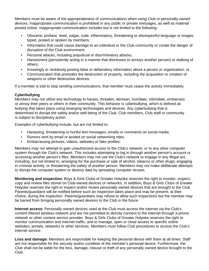Members must be aware of the appropriateness of communications when using Club or personally owned devices. Inappropriate communication is prohibited in any public or private messages, as well as material posted online. Inappropriate communication includes but is not limited to the following:

- Obscene, profane, lewd, vulgar, rude, inflammatory, threatening or disrespectful language or images typed, posted or spoken by members;
- Information that could cause damage to an individual or the Club community or create the danger of disruption of the Club environment;
- Personal attacks, including prejudicial or discriminatory attacks;
- Harassment (persistently acting in a manner that distresses or annoys another person) or stalking of others;
- Knowingly or recklessly posting false or defamatory information about a person or organization; or
- Communication that promotes the destruction of property, including the acquisition or creation of weapons or other destructive devices.

If a member is told to stop sending communications, that member must cease the activity immediately.

#### **Cyberbullying**

Members may not utilize any technology to harass, threaten, demean, humiliate, intimidate, embarrass or annoy their peers or others in their community. This behavior is cyberbullying, which is defined as bullying that takes place using emerging technologies and devices. Any cyberbullying that is determined to disrupt the safety and/or well-being of the Club, Club members, Club staff or community is subject to disciplinary action.

Examples of cyberbullying include, but are not limited to:

- Harassing, threatening or hurtful text messages, emails or comments on social media.
- Rumors sent by email or posted on social networking sites.
- Embarrassing pictures, videos, websites or fake profiles.

Members may not attempt to gain unauthorized access to the Club's network, or to any other computer system through the Club's network. This includes attempting to log in through another person's account or accessing another person's files. Members may not use the Club's network to engage in any illegal act, including, but not limited to, arranging for the purchase or sale of alcohol, tobacco or other drugs; engaging in criminal activity; or threatening the safety of another person. Members may not make deliberate attempts to disrupt the computer system or destroy data by spreading computer viruses.

**Monitoring and inspection:** Boys & Girls Clubs of Greater Holyoke reserves the right to monitor, inspect, copy and review files stored on Club-owned devices or networks. In addition, Boys & Girls Clubs of Greater Holyoke reserves the right to inspect and/or review personally owned devices that are brought to the Club. Parents/guardians will be notified before such an inspection takes place and may be present, at their choice, during the inspection. Parents/guardians may refuse to allow such inspections but the member may be barred from bringing personally owned devices to the Club in the future.

**Internet access:** Personally owned devices used at the Club must access the internet via the Club's content-filtered wireless network and are not permitted to directly connect to the internet through a phone network or other content service provider. Boys & Girls Clubs of Greater Holyoke reserves the right to monitor communication and internet traffic, and to manage, open or close access to specific online websites, portals, networks or other services. Members must follow Club procedures to access the Club's internet service.

**Loss and damage:** Members are responsible for keeping the personal device with them at all times. Staff are not responsible for the security and/or condition of the member's personal device. Furthermore, the Club shall not be liable for the loss, damage, misuse or theft of any personally owned device brought to the Club.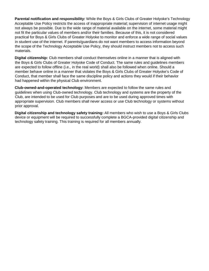**Parental notification and responsibility:** While the Boys & Girls Clubs of Greater Holyoke's Technology Acceptable Use Policy restricts the access of inappropriate material; supervision of internet usage might not always be possible. Due to the wide range of material available on the internet, some material might not fit the particular values of members and/or their families. Because of this, it is not considered practical for Boys & Girls Clubs of Greater Holyoke to monitor and enforce a wide range of social values in student use of the internet. If parents/guardians do not want members to access information beyond the scope of the Technology Acceptable Use Policy, they should instruct members not to access such materials.

**Digital citizenship:** Club members shall conduct themselves online in a manner that is aligned with the Boys & Girls Clubs of Greater Holyoke Code of Conduct. The same rules and guidelines members are expected to follow offline (i.e., in the real world) shall also be followed when online. Should a member behave online in a manner that violates the Boys & Girls Clubs of Greater Holyoke's Code of Conduct, that member shall face the same discipline policy and actions they would if their behavior had happened within the physical Club environment.

**Club-owned-and-operated technology:** Members are expected to follow the same rules and guidelines when using Club-owned technology. Club technology and systems are the property of the Club, are intended to be used for Club purposes and are to be used during approved times with appropriate supervision. Club members shall never access or use Club technology or systems without prior approval.

**Digital citizenship and technology safety training:** All members who wish to use a Boys & Girls Clubs device or equipment will be required to successfully complete a BGCA-provided digital citizenship and technology safety training. This training is required for all members annually.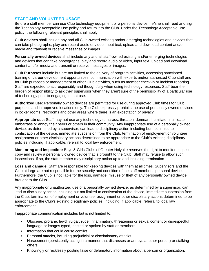#### **STAFF AND VOLUNTEER USAGE**

Before a staff member can use Club technology equipment or a personal device, he/she shall read and sign the Technology Acceptable Use policy and return it to the Club. Under the Technology Acceptable Use policy, the following relevant principles shall apply:

**Club devices** shall include any and all Club-owned existing and/or emerging technologies and devices that can take photographs, play and record audio or video, input text, upload and download content and/or media and transmit or receive messages or images.

**Personally owned devices** shall include any and all staff-owned existing and/or emerging technologies and devices that can take photographs, play and record audio or video, input text, upload and download content and/or media and transmit or receive messages or images.

**Club Purposes** include but are not limited to the delivery of program activities, accessing sanctioned training or career development opportunities, communication with experts and/or authorized Club staff and for Club purposes or management of other Club activities, such as member check-in or incident reporting. Staff are expected to act responsibly and thoughtfully when using technology resources. Staff bear the burden of responsibility to ask their supervisor when they aren't sure of the permissibility of a particular use of technology prior to engaging in that use.

**Authorized use:** Personally owned devices are permitted for use during approved Club times for Club purposes and in approved locations only. The Club expressly prohibits the use of personally owned devices in locker rooms, restrooms and other areas where there is an expectation of privacy.

**Appropriate use:** Staff may not use any technology to harass, threaten, demean, humiliate, intimidate, embarrass or annoy their peers or others in their community. Any inappropriate use of a personally owned device, as determined by a supervisor, can lead to disciplinary action including but not limited to confiscation of the device, immediate suspension from the Club, termination of employment or volunteer assignment or other disciplinary actions determined to be appropriate to the Club's existing disciplinary policies including, if applicable, referral to local law enforcement.

**Monitoring and inspection:** Boys & Girls Clubs of Greater Holyoke reserves the right to monitor, inspect, copy and review a personally owned device that is brought to the Club. Staff may refuse to allow such inspections. If so, the staff member may disciplinary action up to and including termination

**Loss and damage:** Staff are responsible for keeping devices with them at all times. Supervisors and the Club at large are not responsible for the security and condition of the staff member's personal device. Furthermore, the Club is not liable for the loss, damage, misuse or theft of any personally owned device brought to the Club.

Any inappropriate or unauthorized use of a personally owned device, as determined by a supervisor, can lead to disciplinary action including but not limited to confiscation of the device, immediate suspension from the Club, termination of employment or volunteer assignment or other disciplinary actions determined to be appropriate to the Club's existing disciplinary policies, including, if applicable, referral to local law enforcement.

Inappropriate communication includes but is not limited to:

- Obscene, profane, lewd, vulgar, rude, inflammatory, threatening or sexual content or disrespectful language or images typed, posted or spoken by staff or members.
- Information that could cause conflict.
- Personal attacks, including prejudicial or discriminatory attacks.
- Harassment (persistently acting in a manner that distresses or annoys another person) or stalking others.
- Knowingly or recklessly posting false or defamatory information about a person or organization.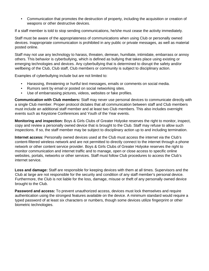• Communication that promotes the destruction of property, including the acquisition or creation of weapons or other destructive devices.

If a staff member is told to stop sending communications, he/she must cease the activity immediately.

Staff must be aware of the appropriateness of communications when using Club or personally owned devices. Inappropriate communication is prohibited in any public or private messages, as well as material posted online.

Staff may not use any technology to harass, threaten, demean, humiliate, intimidate, embarrass or annoy others. This behavior is cyberbullying, which is defined as bullying that takes place using existing or emerging technologies and devices. Any cyberbullying that is determined to disrupt the safety and/or wellbeing of the Club, Club staff, Club members or community is subject to disciplinary action.

Examples of cyberbullying include but are not limited to:

- Harassing, threatening or hurtful text messages, emails or comments on social media.
- Rumors sent by email or posted on social networking sites.
- Use of embarrassing pictures, videos, websites or fake profiles.

**Communication with Club members:** Staff may never use personal devices to communicate directly with a single Club member. Proper protocol dictates that all communication between staff and Club members must include an additional staff member and at least two Club members. This also includes overnight events such as Keystone Conferences and Youth of the Year events.

**Monitoring and inspection:** Boys & Girls Clubs of Greater Holyoke reserves the right to monitor, inspect, copy and review a personally owned device that is brought to the Club. Staff may refuse to allow such inspections. If so, the staff member may be subject to disciplinary action up to and including termination.

**Internet access:** Personally owned devices used at the Club must access the internet via the Club's content-filtered wireless network and are not permitted to directly connect to the internet through a phone network or other content service provider. Boys & Girls Clubs of Greater Holyoke reserves the right to monitor communication and internet traffic and to manage, open or close access to specific online websites, portals, networks or other services. Staff must follow Club procedures to access the Club's internet service.

**Loss and damage:** Staff are responsible for keeping devices with them at all times. Supervisors and the Club at large are not responsible for the security and condition of any staff member's personal device. Furthermore, the Club is not liable for the loss, damage, misuse or theft of any personally owned device brought to the Club.

**Password and access:** To prevent unauthorized access, devices must lock themselves and require authentication using the strongest features available on the device. A minimum standard would require a typed password of at least six characters or numbers, though some devices utilize fingerprint or other biometric technologies.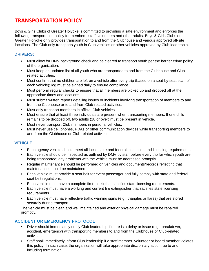## **TRANSPORTATION POLICY**

Boys & Girls Clubs of Greater Holyoke is committed to providing a safe environment and enforces the following transportation policy for members, staff, volunteers and other adults. Boys & Girls Clubs of Greater Holyoke only provides transportation to and from the Clubhouse and various approved off-site locations. The Club only transports youth in Club vehicles or other vehicles approved by Club leadership.

#### **DRIVERS:**

- Must allow for DMV background check and be cleared to transport youth per the barrier crime policy of the organization.
- Must keep an updated list of all youth who are transported to and from the Clubhouse and Club related activities.
- Must confirm that no children are left on a vehicle after every trip (based on a seat-by-seat scan of each vehicle); log must be signed daily to ensure compliance.
- Must perform regular checks to ensure that all members are picked up and dropped off at the appropriate times and locations.
- Must submit written reports detailing issues or incidents involving transportation of members to and from the Clubhouse or to and from Club-related activities.
- Must only transport members in official Club vehicles.
- Must ensure that at least three individuals are present when transporting members. If one child remains to be dropped off, two adults (18 or over) must be present in vehicle.
- Must never transport Club members in personal vehicles.
- Must never use cell phones, PDAs or other communication devices while transporting members to and from the Clubhouse or Club-related activities.

#### **VEHICLE**

- Each agency vehicle should meet all local, state and federal inspection and licensing requirements.
- Each vehicle should be inspected as outlined by DMV by staff before every trip for which youth are being transported; any problems with the vehicle must be addressed promptly.
- Regular maintenance should be performed on vehicles and documents/records reflecting that maintenance should be maintained.
- Each vehicle must provide a seat belt for every passenger and fully comply with state and federal seat belt regulations.
- Each vehicle must have a complete first-aid kit that satisfies state licensing requirements.
- Each vehicle must have a working and current fire extinguisher that satisfies state licensing requirements.
- Each vehicle must have reflective traffic warning signs (e.g., triangles or flares) that are stored securely during transport.

The vehicle must be clean and well maintained and exterior physical damage must be repaired promptly.

#### **ACCIDENT OR EMERGENCY PROTOCOL**

- Driver should immediately notify Club leadership if there is a delay or issue (e.g., breakdown, accident, emergency) with transporting members to and from the Clubhouse or Club-related activities.
- Staff shall immediately inform Club leadership if a staff member, volunteer or board member violates this policy. In such case, the organization will take appropriate disciplinary action, up to and including termination.